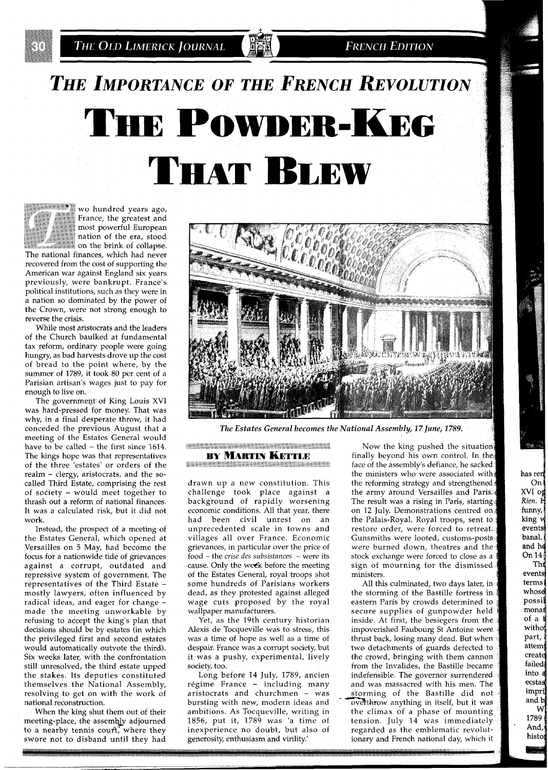**FRENCH EDITION** 

# THE IMPORTANCE OF THE FRENCH REVOLUTION THE POWDER-KEG THAT BLEW



**\*\*\*\*\*\*\*\*\*\*** wo hundred years ago, France, the greatest and most powerful European nation of the era, stood on the brink of collapse.

The national finances, which had never recovered from the cost of supporting the American war against England six years previously, were bankrupt. France's political institutions, such as they were in a nation so dominated by the power of the Crown, were not strong enough to reverse the crisis.

While most aristocrats and the leaders of the Church baulked at fundamental tax reform, ordinary people were going hungry, as bad harvests drove up the cost of bread to the point where, by the summer of 1789, it took 80 per cent of a Parisian artisan's wages just to pay for enough to live on.

The government of King Louis XVI was hard-pressed for money. That was why, in a final desperate throw, it had conceded the previous August that a meeting of the Estates General would have to be called - the first since 1614. The kings hope was that representatives of the three 'estates' or orders of the realm - clergy, aristocrats, and the socalled Third Estate, comprising the rest of society - would meet together to thrash out a reform of national finances. It was a calculated risk, but it did not work.

Instead, the prospect of a meeting of the Estates General, which opened at Versailles on 5 May, had become the focus for a nationwide tide of grievances against a corrupt, outdated and repressive system of government. The representatives of the Third Estate mostly lawyers, often influenced by radical ideas, and eager for change made the meeting unworkable by refusing to accept the king's plan that decisions should be by estates (in which the privileged first and second estates would automatically outvote the third). Six weeks later, with the confrontation still unresolved, the third estate upped the stakes. Its deputies constituted themselves the National Assembly, resolving to get on with the work of national reconstruction.

When the king shut them out of their meeting-place, the assembly adjourned to a nearby tennis court, where they swore not to disband until they had



The Estates General becomes the National Assembly, 17 June, 1789.

**BY MARTIN KETTLE** ,,,,,,,,,,, **START COMMISSION COMMISSION** 

drawn up a new constitution. This challenge took place against a background of rapidly worsening economic conditions. All that year, there had been civil unrest on an unprecedented scale in towns and villages all over France. Economic grievances, in particular over the price of food - the *crise des subsistances* - were its cause. Only the week before the meeting of the Estates General, royal troops shot some hundreds of Parisians workers dead, as they protested against alleged wage cuts proposed by the royal wallpaper manufacturers.

Yet, as the 19th century historian Alexis de Tocqueville was to stress, this was a time of hope as well as a time of despair. France was a corrupt society, but it was a pushy, experimental, lively society, too.

Long before 14 July, 1789, ancien régime France - including many aristocrats and churchmen - was bursting with new, modern ideas and ambitions. As Tocqueville, writing in 1856, put it, 1789 was 'a time of inexperience no doubt, but also of generosity, enthusiasm and virility.'

Now the king pushed the situation finally beyond his own control. In the face of the assembly's defiance, he sacked the ministers who were associated with the reforming strategy and strengthened the army around Versailles and Paris. The result was a rising in Paris, starting on 12 July. Demonstrations centred on the Palais-Royal. Royal troops, sent to restore order, were forced to retreat. Gunsmiths were looted, customs-posts were burned down, theatres and the stock exchange were forced to close as a sign of mourning for the dismissed ministers.

has ren On  $XVI$  of Rien. F funny, king y events banal. and he On 14 Thi events terms whose possil monar  $of a$ witho part, attem create failed into a ecstas impri and b W 1789 And, histo

All this culminated, two days later, in the storming of the Bastille fortress eastern Paris by crowds determined secure supplies of gunpowder held. inside. At first, the besiegers from the impoverished Faubourg St Antoine we thrust back, losing many dead. But when two detachments of guards defected to the crowd, bringing with them from the Invalides, the Bastille became indefensible. The governor surrendered and was massacred with his men. The storming of the Bastille did not overthrow anything in itself, but it was the climax of a phase of mountin tension. July 14 was immediately regarded as the emblematic revolu ionary and French national day, which it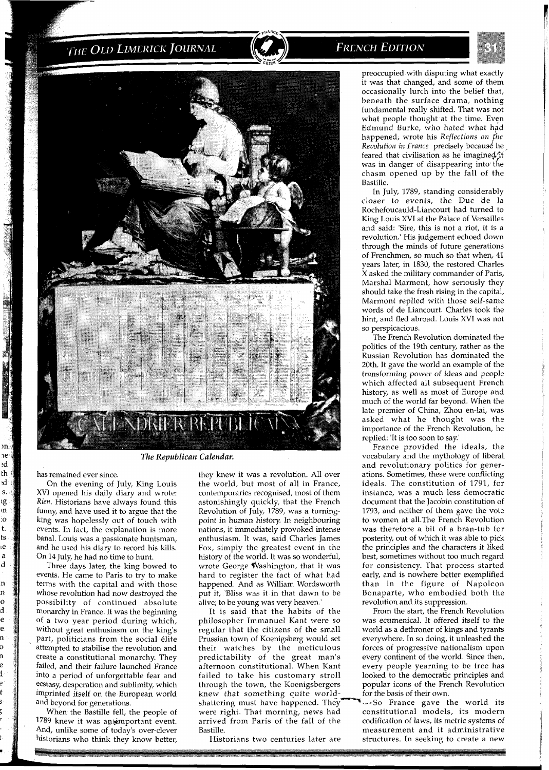



has remained ever since.

m he. эd th .d s. ιg m  $\mathbf{c}$  $\mathbf t.$  $ts$ ιė a d

n n  $\mathbf{o}$ d ė ė 'n

On the evening of July, King Louis XVI opened his daily diary and wrote: *Rien.* Historians have always found this funny, and have used it to argue that the king was hopelessly out of touch with events. In fact, the explanation is more banal. Louis was a passionate huntsman, and he used his diary to record his kills. On 14 July, he had no time to hunt.

Three days later, the king bowed to events. He came to Paris to try to make terms with the capital and with those whose revolution had now destroyed the possibility of continued absolute monarchy in France. It was the beginning of a two year period during which, without great enthusiasm on the king's part, politicians from the social elite attempted to stabilise the revolution and create a constitutional monarchy. They failed, and their failure launched France into a period of unforgettable fear and ecstasy, desperation and sublimity, which imprinted itself on the European world and beyond for generations.

When the Bastille fell, the people of 1789 knew it was an.important event. And, unlike some of today's over-clever historians who think they know better,

they knew it was a revolution. All over the world, but most of all in France, contemporaries recognised, most of them astonishingly quickly, that the French Revolution of July, 1789, was a turningpoint in human history. In neighbouring nations, it immediately provoked intense enthusiasm. It was, said Charles James Fox, simply the greatest event in the history of the world. It was so wonderful, wrote George Washington, that it was hard to register the fact of what had happened. And as William Wordsworth put it, 'Bliss was it in that dawn to be alive; to be young was very heaven.'

It is said that the habits of the philosopher Immanuel Kant were so regular that the citizens of the small Prussian town of Koenigsberg would set their watches by the meticulous predictability of the great man's afternoon constitutional. When Kant failed to take his customary stroll through the town, the Koenigsbergers knew that something quite world-<br>shattering must have happened. They were right. That morning, news had arrived from Paris of the fall of the codification of laws, its metric systems of Bastille. measurement and it administrative

preoccupied with disputing what exactly it was that changed, and some of them

occasionally lurch into the belief that, beneath the surface drama, nothing fundamental really shifted. That was not what people thought at the time. Even Edmund Burke, who hated what had happened, wrote his *Reflections on he Revolution in France* precisely because he feared that civilisation as he imagined it was in danger of disappearing into the chasm opened up by the fall of the Bastille.

In July, 1789, standing considerably closer to events, the Duc de la Rochefoucauld-Liancourt had turned to King Louis XVI at the Palace of Versailles and said: 'Sire, this is not a riot, it is a revolution.' His judgement echoed down through the minds of future generations of Frenchmen, so much so that when, 41 years later, in 1830, the restored Charles X asked the military commander of Paris, Marshal Marmont, how seriously they should take the fresh rising in the capital, Marmont replied with those self-same words of de Liancourt. Charles took the hint, and fled abroad. Louis XVI was not so perspicacious.

The French Revolution dominated the politics of the 19th century, rather as the Russian Revolution has dominated the 20th. It gave the world an example of the transforming power of ideas and people which affected all subsequent French history, as well as most of Europe and much of the world far beyond. When the late premier of China, Zhou en-lai, was asked what he thought was the importance of the French Revolution, he replied: 'It is too soon to say.'

France provided the ideals, the vocabulary and the mythology of liberal and revolutionary politics for generations. Sometimes, these were conflicting ideals. The constitution of 1791, for instance, was a much less democratic document that the Jacobin constitution of 1793, and neither of them gave the vote to women at all.The French Revolution was therefore a bit of a bran-tub for posterity, out of which it was able to pick the principles and the characters it liked best, sometimes without too much regard for consistency. That process started early, and is nowhere better exemplified than in the figure of Napoleon Bonaparte, who embodied both the revolution and its suppression.

From the start, the French Revolution was ecumenical. It offered itself to the world as a dethroner of kings and tyrants everywhere. In so doing, it unleashed the forces of progressive nationalism upon every continent of the world. Since then, every people yearning to be free has looked to the democratic principles and popular icons of the French Revolution for the basis of their own.

 $-$ So France gave the world its constitutional models, its modern Historians two centuries later are structures. In seeking to create a new

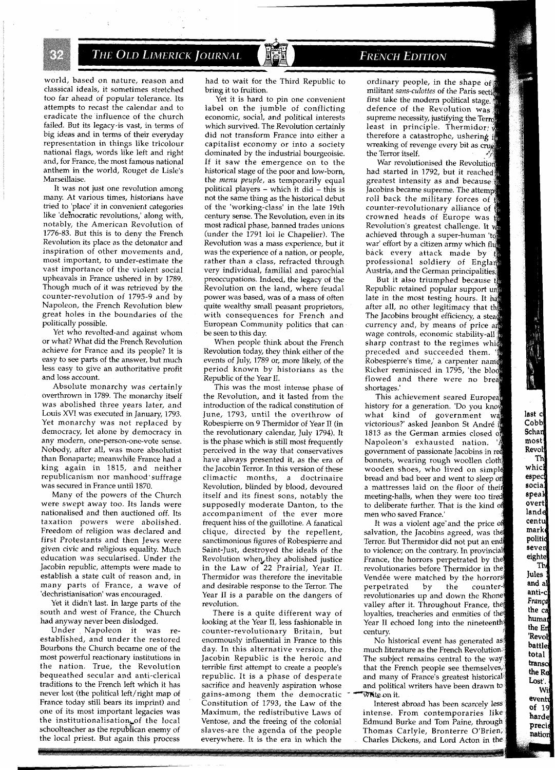world, based on nature, reason and classical ideals, it sometimes stretched too far ahead of popular tolerance. Its attempts to recast the calendar and to eradicate the influence of the church failed. But its legacy-is vast, in terms of big ideas and in terms of their everyday representation in things like tricolour national flags, words like left and right and, for France, the most famous national anthem in the world, Rouget de Lisle's Marseillaise.

It was not just one revolution among many. At various times, historians have tried to 'place' it in convenient categories like 'de'mocratic revolutions,' along with, notably, the American Revolution of 1776-83. But this is to deny the French Revolution its place as the detonator and inspiration of other movements and, most important, to under-estimate the vast importance of the violent social upheavals in France ushered in by 1789. Though much of it was retrieved by the counter-revolution of 1795-9 and by Napoleon, the French Revolution blew great holes in the boundaries of the politically possible.

Yet who revolted-and against whom or what? What did the French Revolution achieve for France and its people? It is easy to see parts of the answer, but much less easy to give an authoritative profit and loss account.

Absolute monarchy was certainly overthrown in 1789. The monarchy itself was abolished three years later, and Louis XVI was executed in January, 1793. Yet monarchy was not replaced by democracy, let alone by democracy in any modern, one-person-one-vote sense. Nobody, after all, was more absolutist than Bonaparte; meanwhile France had a king again in 1815, and neither republicanism nor manhood'suffrage was secured in France until 1870.

Many of the powers of the Church were swept away too. Its lands were nationalised and then auctioned off. Its taxation powers were abolished. Freedom of religion was declared and first Protestants and then Jews were given civic and religious equality. Much education was secularised. Under the Jacobin republic, attempts were made to establish a state cult of reason and, in many parts of France, a wave of 'dechristianisation' was encouraged.

Yet it didn't last. In large parts of the south and west of France, the Church had anyway never been dislodged.

Under Napoleon it was reestablished, and under the restored Bourbons the Church became one of the most powerful reactionary institutions in the nation. True, the Revolution bequeathed secular and anti-clerical traditions to the French left which it has never lost (the political left/right map of France today still bears its imprint) and one of its most important legacies was the institutionalisation, of the local schoolteacher as the republican enemy of the local priest. But again this process

had to wait for the Third Republic to bring it to fruition.

Yet it is hard to pin one convenient label on the jumble of conflicting economic, social, and political interests which survived. The Revolution certainly did not transform France into either a capitalist economy or into a society dominated by the industrial bourgeoisie. If it saw the emergence on to the historical stage of the poor and low-born, the menu peuple, as temporarily equal political players - which it did - this is not the same thing as the historical debut of the 'working-class' in the late 19th century sense. The Revolution, even in its most radical phase, banned trades unions (under the 1791 loi le Chapelier). The Revolution was a mass experience, but it was the experience of a nation, or people, rather than a class, refracted through very individual, familial and parochial preoccupations. Indeed, the legacy of the Revolution on the land, where feudal power was based, was of a mass of often quite wealthy small peasant proprietors, with consequences for French and European Community politics that can be seen to this day.

When people think about the French Revolution today, they think either of the events of July, 1789 or, more likely, of the period known by historians as the Republic of the Year 11.

This was the most intense phase of the Revolution, and it lasted from the introduction of the radical constitution of June, 1793, until the overthrow of Robespierre on 9 Thermidor of Year 11 (in the revolutionary calendar, July 1794). It is the phase which is still most frequently perceived in the way that conservatives have always presented it, as the era of the Jacobin Terror. In this version of these climactic months, a doctrinaire Revolution, blinded by blood, devoured itself and its finest sons, notably the supposedly moderate Danton, to the accompaniment of the ever more frequent hiss of the guillotine. A fanatical clique, directed by the repellent, sanctimonious figures of Robespierre and Saint-Just, destroyed the ideals of the Revolution when,they abolished justice in the Law of 22 Prairial, Year 11. Thermidor was therefore the inevitable and desirable response to the Terror. The Year **I1** is a parable on the dangers of revolution.

There is a quite different way of looking at the Year 11, less fashionable in counter-revolutionary Britain, but enormously influential in France to this day. In this alternative version, the Jacobin Republic is the heroic and terrible first attempt to create a people's republic. It is a phase of desperate sacrifice and heavenly aspiration whose gains-among them the democratic Constitution of 1793, the Law of the Maximum, the redistributive Laws of Ventose, and the freeing of the colonial slaves-are the agenda of the people everywhere. It is the era in which the

### **FRENCH EDITION**

ordinary people, in the shape of militant sans-culottes of the Paris section first take the modern political stage. defence of the Revolution was supreme necessity, justifying the Terror least in principle. Thermidor therefore a catastrophe, ushering if wreaking of revenge every bit as crue the Terror itself.

War revolutionised the Revolution had started in 1792, but it reached greatest intensity as and because Jacobins became supreme. The attempt roll back the military forces of counter-revolutionary alliance of  $\frac{2}{3}$ crowned heads of Europe was Revolution's greatest challenge. It w achieved through a super-human 'to war' effort by a citizen army which flu back every attack made by professional soldiery of Englan Austria, and the German principalities.

But it also triumphed because th Republic retained popular support un late in the most testing hours. It has after all, no other legitimacy that the The Jacobins brought efficiency, a stead currency and, by means of price an wage controls, economic stability-all sharp contrast to the regimes which preceded and succeeded them. Robespierre's time,' a carpenter name Richer reminisced in 1795, 'the bloo flowed and there were no brea shortages.

This achievement seared European history for a generation. 'Do you kn what kind of government wa victorious?' asked Jeanbon St André i 1813 as the German armies closed of Napoleon's exhausted nation. government of passionate Jacobins in r bonnets, wearing rough woollen cloth wooden shoes, who lived on si bread and bad beer and went to sleep on a mattresses laid on the floor of meeting-halls, when they were too to deliberate further. That is the ki men who saved France.'

last c Cobb Schar most Revol Th whic espec socia speal overt lande centu mark politic seven eighte Th Jules and al anti-c França the ca humat the Eri 'Revol battle total transc the Re Lost'. Wi eventy of 19 harde precis nation

It was a violent age'and the price salvation, the Jacobins agreed, was the Terror. But Thermidor did not put an e to violence; on the contrary. In provin France, the horrors perpetrated by revolutionaries before Thermidor in Vendée were matched by the horrors perpetrated by the counterrevolutionaries up and down the Rhone valley after it. Throughout France, the loyalties, treacheries and enmities of the Year II echoed long into the nineteenth century.

No historical event has generated as much literature as the French Revolution.<sup>1</sup> The subject remains central to the way that the French people see themselves, and many of France's greatest historical and political writers have been drawn to Whie on it.

Interest abroad has been scarcely less intense. From contemporaries like Edmund Burke and Tom Paine, through Thomas Carlyle, Bronterre O'Brien, Charles Dickens, and Lord Acton in the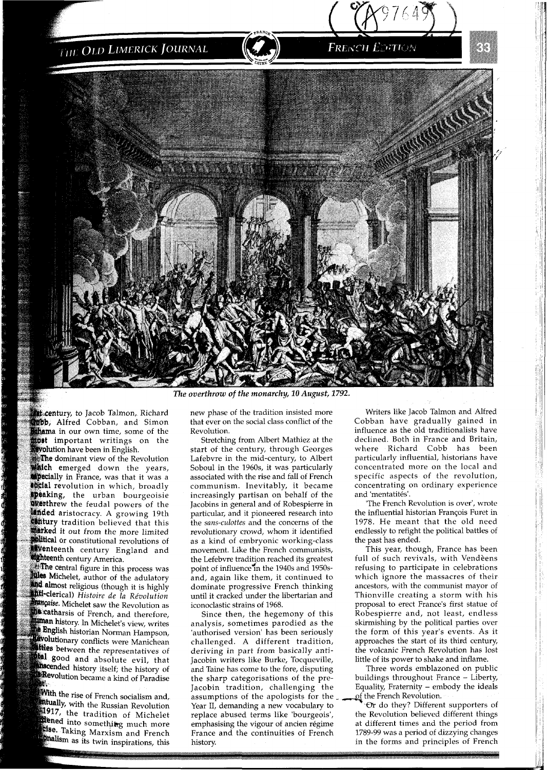

The overthrow of the monarchy, 10 August, 1792.

\*\* **Ref. century, to Jacob Talmon, Richard bb, Alfred Cobban, and Simon** thama in our own time, some of the **fost** important writings on the **wolution** have been in English.

e dominant view of the Revolution emerged down the years, **apecially** in France, was that it was a **social revolution in which, broadly speaking, the urban bourgeoisie deerthrew** the feudal powers of the<br>**lended** aristocracy. A growing 19th **contury** tradition believed that this<br>**marked** it out from the more limited **Altical** or constitutional revolutions of<br>Wenteenth century England and

**dighteenth century America.**<br>**The central figure in this process was**<br>**Mies Michelet, author of the adulatory** and almost religious (though it is highly **inti-clerical**) *Histoire de la Révolution*<br>*<i>imagise*. Michelet saw the Revolution as **he catharsis of French, and therefore, Inman** history. In Michelet's view, writes the English historian Norman Hampson, **evolutionary** conflicts were Manichean ttles between the representatives of **tal** good and absolute evil, that **hiscended** history itself; the history of **Revolution** became a kind of Paradise

se:<br>**With the rise** of French socialism and,<br>**Intually** with the Bresian Broadwigh **Intually,** with the Russian Revolution 1917, the tradition of Michelet dened into something much more **Else.** Taking Marxism and French<br>**Cise.** Taking Marxism and French **CONTRAINS MATXISM and French**<br>**Onalism** as its twin inspirations, this new phase of the tradition insisted more that ever on the social class conflict of the Revolution.

Stretching from Albert Mathiez at the start of the century, through Georges Lafebvre in the mid-century, to Albert Soboul in the 1960s, it was particularly associated with the rise and fall of French communism. Inevitably, it became increasingly partisan on behalf of the Jacobins in general and of Robespierre in particular, and it pioneered research into the sans-culottes and the concerns of the revolutionary crowd, whom it identified as a kind of embryonic working-class movement. Like the French communists, the Lefebvre tradition reached its greatest point of influence in the 1940s and 1950sand, again like them, it continued to dominate progressive French thinking until it cracked under the libertarian and iconoclastic strains of 1968.

Since then, the hegemony of this analysis, sometimes parodied as the 'authorised version' has been seriously challenged. A different tradition, deriving in part from basically anti-Jacobin writers like Burke, Tocqueville, and Taine has come to the fore, disputing the sharp categorisations of the pre-Jacobin tradition, challenging the assumptions of the apologists for the  $\frac{1}{\sqrt{2}}$  of the French Revolution.<br>Year II, demanding a new vocabulary to  $\frac{1}{\sqrt{2}}$  Or do they? Different supporters of deriving in part from basically anti-<br>
Yacobin writers like Burke, Tocqueville, little of its power to shake and inflame.<br>
and Taine has come to the fore, disputing Three words emblazoned on public<br>
the sharp categorisatio replace abused terms like 'bourgeois', the Revolution believed different things emphasising the vigour of ancien régime at different times and the period from emphasising the vigour of ancien régime at different times and the period from<br>France and the continuities of French 1789-99 was a period of dizzying changes France and the continuities of French history. in the forms and principles of French

Writers like Jacob Talmon and Alfred Cobban have gradually gained in influence as the old traditionalists have declined. Both in France and Britain, where Richard Cobb has been particularly influential, historians have concentrated more on the local and specific aspects of the revolution, concentrating on ordinary experience and 'mentatités'.

**FRENCH EDITION** 

'The French Revolution is over', wrote the influential historian Francois Furet in 1978. He meant that the old need endlessly to refight the political battles of the past has ended.

This year, though, France has been full of such revivals, with Vendèens refusing to participate in celebrations which ignore the massacres of their ancestors, with the communist mayor of Thionville creating a storm with his proposal to erect France's first statue of Robespierre and, not least, endless skirmishing by the political parties over the form of this year's events. As it approaches the start of its third century, the volcanic French Revolution has lost little of its power to shake and inflame.

Three words emblazoned on public buildings throughout France - Liberty, Equality, Fraternity – embody the ideals of the French Revolution.